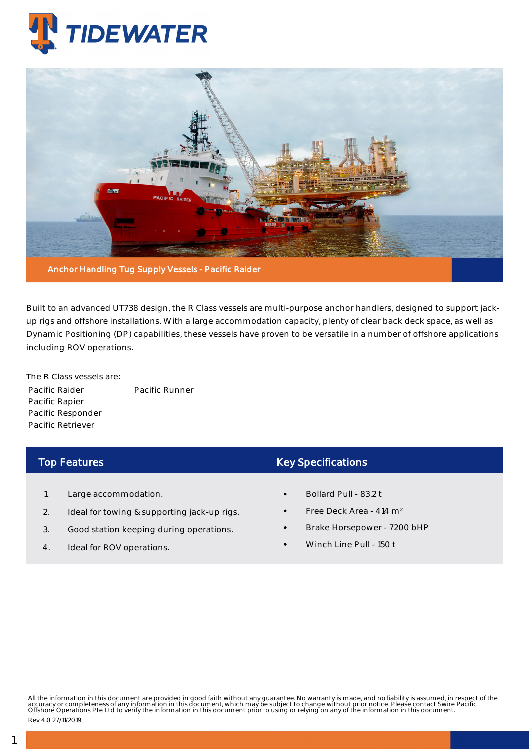



Built to an advanced UT738 design, the R Class vessels are multi-purpose anchor handlers, designed to support jackup rigs and offshore installations. With a large accommodation capacity, plenty of clear back deck space, as well as Dynamic Positioning (DP) capabilities, these vessels have proven to be versatile in a number of offshore applications including ROV operations.

The R Class vessels are: Pacific Raider Pacific Rapier Pacific Responder Pacific Retriever Pacific Runner

## Top Features

- 1. Large accommodation.
- 2. Ideal for towing & supporting jack-up rigs.
- 3. Good station keeping during operations.
- 4. Ideal for ROV operations.

## Key Specifications

- Bollard Pull 83.2 t
- Free Deck Area 414 m²
- Brake Horsepower 7200 bHP
- Winch Line Pull 150 t

All the information in this document are provided in good faith without any guarantee. No warranty is made, and no liability is assumed, in respect of the<br>accuracy or completeness of any information in this document, which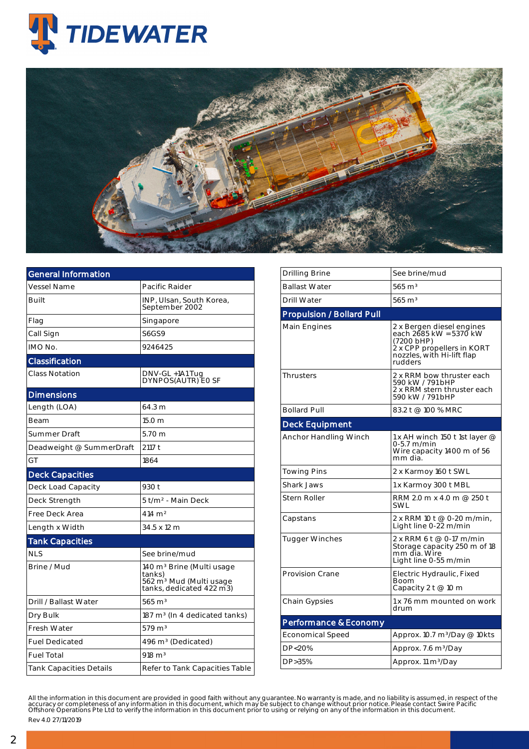



| General Information            |                                                                                                                    |  |  |  |  |
|--------------------------------|--------------------------------------------------------------------------------------------------------------------|--|--|--|--|
| Vessel Name                    | Pacific Raider                                                                                                     |  |  |  |  |
| Built                          | INP, Ulsan, South Korea,<br>September 2002                                                                         |  |  |  |  |
| Flag                           | Singapore                                                                                                          |  |  |  |  |
| Call Sign                      | <b>S6GS9</b>                                                                                                       |  |  |  |  |
| IMO No.                        | 9246425                                                                                                            |  |  |  |  |
| Classification                 |                                                                                                                    |  |  |  |  |
| <b>Class Notation</b>          | DNV-GL +1A1 Tug<br>DYNPOS(AUTR) EO SF                                                                              |  |  |  |  |
| <b>Dimensions</b>              |                                                                                                                    |  |  |  |  |
| Length (LOA)                   | 64.3 m                                                                                                             |  |  |  |  |
| Beam                           | 15.0 m                                                                                                             |  |  |  |  |
| Summer Draft                   | 5.70 m                                                                                                             |  |  |  |  |
| Deadweight @ SummerDraft       | 2117 t                                                                                                             |  |  |  |  |
| GT                             | 1864                                                                                                               |  |  |  |  |
| <b>Deck Capacities</b>         |                                                                                                                    |  |  |  |  |
| Deck Load Capacity             | 930 t                                                                                                              |  |  |  |  |
| Deck Strength                  | 5 t/m <sup>2</sup> - Main Deck                                                                                     |  |  |  |  |
| Free Deck Area                 | 414 m <sup>2</sup>                                                                                                 |  |  |  |  |
| Length x Width                 | 34.5 x 12 m                                                                                                        |  |  |  |  |
| <b>Tank Capacities</b>         |                                                                                                                    |  |  |  |  |
| <b>NLS</b>                     | See brine/mud                                                                                                      |  |  |  |  |
| Brine / Mud                    | 140 m <sup>3</sup> Brine (Multi usage<br>tanks)<br>562 m <sup>3</sup> Mud (Multi usage<br>tanks, dedicated 422 m3) |  |  |  |  |
| Drill / Ballast Water          | $565 \text{ m}^3$                                                                                                  |  |  |  |  |
| Dry Bulk                       | $187 \text{ m}^3$ (In 4 dedicated tanks)                                                                           |  |  |  |  |
| <b>Fresh Water</b>             | $579 \text{ m}^3$                                                                                                  |  |  |  |  |
| <b>Fuel Dedicated</b>          | 496 m <sup>3</sup> (Dedicated)                                                                                     |  |  |  |  |
| <b>Fuel Total</b>              | $918 \text{ m}^3$                                                                                                  |  |  |  |  |
| <b>Tank Capacities Details</b> | Refer to Tank Capacities Table                                                                                     |  |  |  |  |

| See brine/mud<br>Drilling Brine<br><b>Ballast Water</b><br>$565 \text{ m}^3$<br>$565 \text{ m}^3$<br><b>Drill Water</b><br><b>Propulsion / Bollard Pull</b><br>Main Engines<br>2 x Bergen diesel engines<br>each 2685 kW = 5370 kW<br>(7200 bHP)<br>2 x CPP propellers in KORT<br>nozzles, with Hi-lift flap<br>rudders<br><b>Thrusters</b><br>2 x RRM bow thruster each<br>590 kW / 791 bHP<br>2 x RRM stern thruster each<br>590 kW / 791 bHP<br><b>Bollard Pull</b><br>83.2 t @ 100 % MRC<br><b>Deck Equipment</b><br>Anchor Handling Winch<br>1 x AH winch 150 t 1st layer @<br>0-5.7 m/min<br>Wire capacity 1400 m of 56<br>mm dia.<br><b>Towing Pins</b><br>2 x Karmoy 160 t SWL<br><b>Shark Jaws</b><br>1 x Karmoy 300 t MBL<br>Stern Roller<br>RRM 2.0 m x 4.0 m @ 250 t<br><b>SWL</b><br>2 x RRM 10 t @ 0-20 m/min,<br>Capstans<br>Light line 0-22 m/min<br>2 x RRM 6 t @ 0-17 m/min<br><b>Tugger Winches</b><br>Storage capacity 250 m of 18<br>mm dia. Wire<br>Light line 0-55 m/min<br><b>Provision Crane</b><br>Electric Hydraulic, Fixed<br>Boom<br>Capacity 2 t @ 10 m<br>1 x 76 mm mounted on work<br>Chain Gypsies<br>drum<br>Performance & Economy<br>Economical Speed<br>Approx. 10.7 m <sup>3</sup> /Day @ 10kts<br>DP<20%<br>Approx. 7.6 m <sup>3</sup> /Day<br>DP>35%<br>Approx. 11 m <sup>3</sup> /Day |  |  |  |  |  |  |  |  |
|-------------------------------------------------------------------------------------------------------------------------------------------------------------------------------------------------------------------------------------------------------------------------------------------------------------------------------------------------------------------------------------------------------------------------------------------------------------------------------------------------------------------------------------------------------------------------------------------------------------------------------------------------------------------------------------------------------------------------------------------------------------------------------------------------------------------------------------------------------------------------------------------------------------------------------------------------------------------------------------------------------------------------------------------------------------------------------------------------------------------------------------------------------------------------------------------------------------------------------------------------------------------------------------------------------------------------------|--|--|--|--|--|--|--|--|
|                                                                                                                                                                                                                                                                                                                                                                                                                                                                                                                                                                                                                                                                                                                                                                                                                                                                                                                                                                                                                                                                                                                                                                                                                                                                                                                               |  |  |  |  |  |  |  |  |
|                                                                                                                                                                                                                                                                                                                                                                                                                                                                                                                                                                                                                                                                                                                                                                                                                                                                                                                                                                                                                                                                                                                                                                                                                                                                                                                               |  |  |  |  |  |  |  |  |
|                                                                                                                                                                                                                                                                                                                                                                                                                                                                                                                                                                                                                                                                                                                                                                                                                                                                                                                                                                                                                                                                                                                                                                                                                                                                                                                               |  |  |  |  |  |  |  |  |
|                                                                                                                                                                                                                                                                                                                                                                                                                                                                                                                                                                                                                                                                                                                                                                                                                                                                                                                                                                                                                                                                                                                                                                                                                                                                                                                               |  |  |  |  |  |  |  |  |
|                                                                                                                                                                                                                                                                                                                                                                                                                                                                                                                                                                                                                                                                                                                                                                                                                                                                                                                                                                                                                                                                                                                                                                                                                                                                                                                               |  |  |  |  |  |  |  |  |
|                                                                                                                                                                                                                                                                                                                                                                                                                                                                                                                                                                                                                                                                                                                                                                                                                                                                                                                                                                                                                                                                                                                                                                                                                                                                                                                               |  |  |  |  |  |  |  |  |
|                                                                                                                                                                                                                                                                                                                                                                                                                                                                                                                                                                                                                                                                                                                                                                                                                                                                                                                                                                                                                                                                                                                                                                                                                                                                                                                               |  |  |  |  |  |  |  |  |
|                                                                                                                                                                                                                                                                                                                                                                                                                                                                                                                                                                                                                                                                                                                                                                                                                                                                                                                                                                                                                                                                                                                                                                                                                                                                                                                               |  |  |  |  |  |  |  |  |
|                                                                                                                                                                                                                                                                                                                                                                                                                                                                                                                                                                                                                                                                                                                                                                                                                                                                                                                                                                                                                                                                                                                                                                                                                                                                                                                               |  |  |  |  |  |  |  |  |
|                                                                                                                                                                                                                                                                                                                                                                                                                                                                                                                                                                                                                                                                                                                                                                                                                                                                                                                                                                                                                                                                                                                                                                                                                                                                                                                               |  |  |  |  |  |  |  |  |
|                                                                                                                                                                                                                                                                                                                                                                                                                                                                                                                                                                                                                                                                                                                                                                                                                                                                                                                                                                                                                                                                                                                                                                                                                                                                                                                               |  |  |  |  |  |  |  |  |
|                                                                                                                                                                                                                                                                                                                                                                                                                                                                                                                                                                                                                                                                                                                                                                                                                                                                                                                                                                                                                                                                                                                                                                                                                                                                                                                               |  |  |  |  |  |  |  |  |
|                                                                                                                                                                                                                                                                                                                                                                                                                                                                                                                                                                                                                                                                                                                                                                                                                                                                                                                                                                                                                                                                                                                                                                                                                                                                                                                               |  |  |  |  |  |  |  |  |
|                                                                                                                                                                                                                                                                                                                                                                                                                                                                                                                                                                                                                                                                                                                                                                                                                                                                                                                                                                                                                                                                                                                                                                                                                                                                                                                               |  |  |  |  |  |  |  |  |
|                                                                                                                                                                                                                                                                                                                                                                                                                                                                                                                                                                                                                                                                                                                                                                                                                                                                                                                                                                                                                                                                                                                                                                                                                                                                                                                               |  |  |  |  |  |  |  |  |
|                                                                                                                                                                                                                                                                                                                                                                                                                                                                                                                                                                                                                                                                                                                                                                                                                                                                                                                                                                                                                                                                                                                                                                                                                                                                                                                               |  |  |  |  |  |  |  |  |
|                                                                                                                                                                                                                                                                                                                                                                                                                                                                                                                                                                                                                                                                                                                                                                                                                                                                                                                                                                                                                                                                                                                                                                                                                                                                                                                               |  |  |  |  |  |  |  |  |
|                                                                                                                                                                                                                                                                                                                                                                                                                                                                                                                                                                                                                                                                                                                                                                                                                                                                                                                                                                                                                                                                                                                                                                                                                                                                                                                               |  |  |  |  |  |  |  |  |
|                                                                                                                                                                                                                                                                                                                                                                                                                                                                                                                                                                                                                                                                                                                                                                                                                                                                                                                                                                                                                                                                                                                                                                                                                                                                                                                               |  |  |  |  |  |  |  |  |
|                                                                                                                                                                                                                                                                                                                                                                                                                                                                                                                                                                                                                                                                                                                                                                                                                                                                                                                                                                                                                                                                                                                                                                                                                                                                                                                               |  |  |  |  |  |  |  |  |

All the information in this document are provided in good faith without any guarantee. No warranty is made, and no liability is assumed, in respect of the<br>accuracy or completeness of any information in this document, which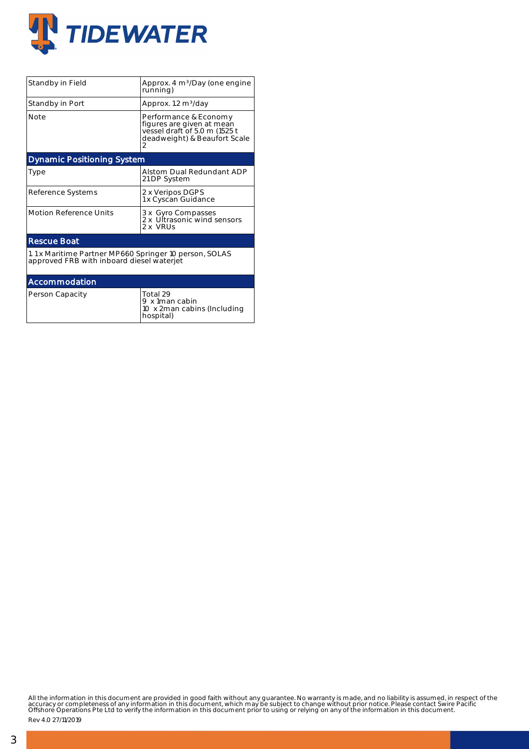

| Standby in Field                                                                                    | Approx. 4 m <sup>3</sup> /Day (one engine<br>running)                                                                    |  |  |  |  |  |  |
|-----------------------------------------------------------------------------------------------------|--------------------------------------------------------------------------------------------------------------------------|--|--|--|--|--|--|
| Standby in Port                                                                                     | Approx. 1.2 m <sup>3</sup> /day                                                                                          |  |  |  |  |  |  |
| <b>Note</b>                                                                                         | Performance & Economy<br>figures are given at mean<br>vessel draft of 5.0 m (1525 t<br>deadweight) & Beaufort Scale<br>2 |  |  |  |  |  |  |
| <b>Dynamic Positioning System</b>                                                                   |                                                                                                                          |  |  |  |  |  |  |
| Type                                                                                                | Alstom Dual Redundant ADP<br>21 DP System                                                                                |  |  |  |  |  |  |
| Reference Systems                                                                                   | 2 x Veripos DGPS<br>1 x Cyscan Guidance                                                                                  |  |  |  |  |  |  |
| <b>Motion Reference Units</b>                                                                       | 3 x Gyro Compasses<br>2 x Ultrasonic wind sensors<br>2 x VRUs                                                            |  |  |  |  |  |  |
| <b>Rescue Boat</b>                                                                                  |                                                                                                                          |  |  |  |  |  |  |
| 1.1 x Maritime Partner MP660 Springer 10 person, SOLAS<br>approved FRB with inboard diesel waterjet |                                                                                                                          |  |  |  |  |  |  |
| Accommodation                                                                                       |                                                                                                                          |  |  |  |  |  |  |
| Person Capacity                                                                                     | Total 29<br>9 x 1man cabin<br>10 x 2man cabins (Including<br>hospital)                                                   |  |  |  |  |  |  |

All the information in this document are provided in good faith without any guarantee. No warranty is made, and no liability is assumed, in respect of the<br>accuracy or completeness of any information in this document, which